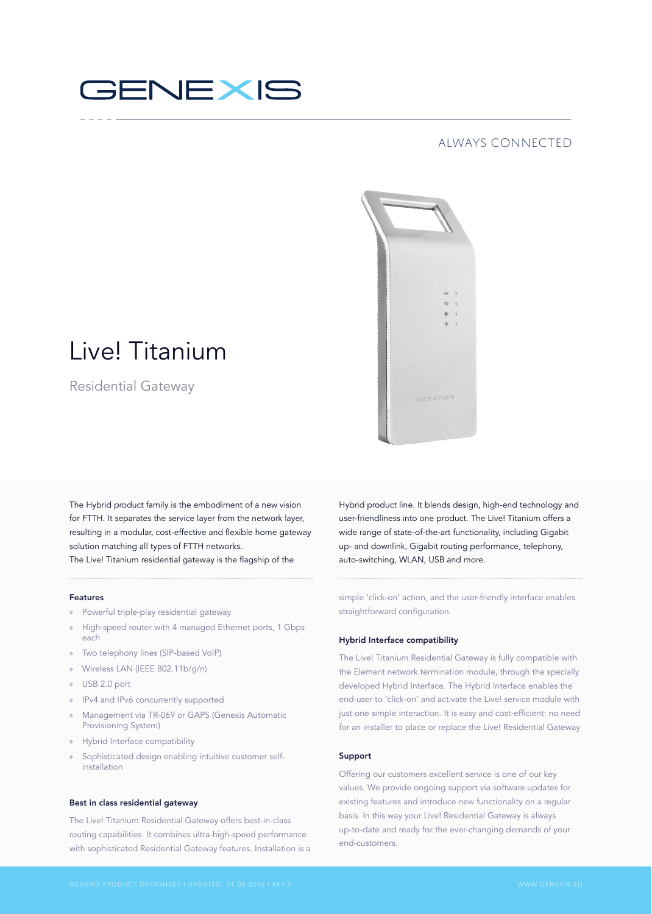# GENEXIS

### always connected



## Live! Titanium

Residential Gateway

The Hybrid product family is the embodiment of a new vision for FTTH. It separates the service layer from the network layer, resulting in a modular, cost-effective and flexible home gateway solution matching all types of FTTH networks.

The Live! Titanium residential gateway is the flagship of the

#### Features

- » Powerful triple-play residential gateway
- » High-speed router with 4 managed Ethernet ports, 1 Gbps each
- » Two telephony lines (SIP-based VoIP)
- » Wireless LAN (IEEE 802.11b/g/n)
- » USB 2.0 port
- » IPv4 and IPv6 concurrently supported
- » Management via TR-069 or GAPS (Genexis Automatic Provisioning System)
- » Hybrid Interface compatibility
- Sophisticated design enabling intuitive customer selfinstallation

#### Best in class residential gateway

The Live! Titanium Residential Gateway offers best-in-class routing capabilities. It combines ultra-high-speed performance with sophisticated Residential Gateway features. Installation is a Hybrid product line. It blends design, high-end technology and user-friendliness into one product. The Live! Titanium offers a wide range of state-of-the-art functionality, including Gigabit up- and downlink, Gigabit routing performance, telephony, auto-switching, WLAN, USB and more.

simple 'click-on' action, and the user-friendly interface enables straightforward configuration.

#### Hybrid Interface compatibility

The Live! Titanium Residential Gateway is fully compatible with the Element network termination module, through the specially developed Hybrid Interface. The Hybrid Interface enables the end-user to 'click-on' and activate the Live! service module with just one simple interaction. It is easy and cost-efficient: no need for an installer to place or replace the Live! Residential Gateway

#### Support

Offering our customers excellent service is one of our key values. We provide ongoing support via software updates for existing features and introduce new functionality on a regular basis. In this way your Live! Residential Gateway is always up-to-date and ready for the ever-changing demands of your end-customers.